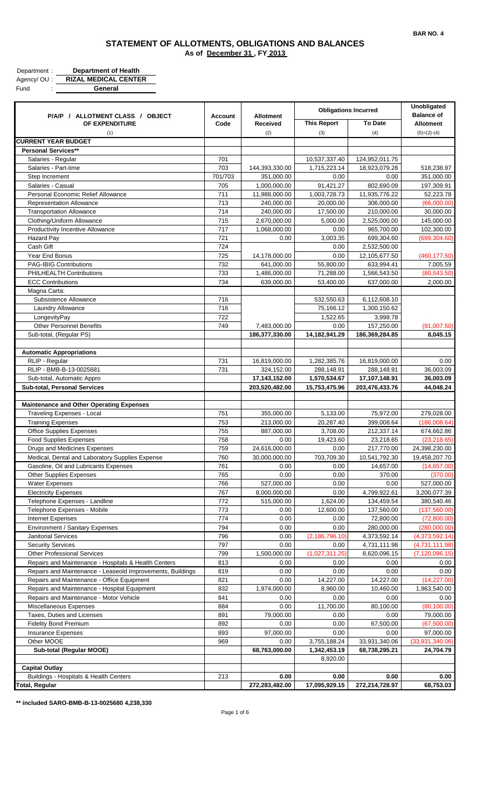| Department: | <b>Department of Health</b> |
|-------------|-----------------------------|
| Agency/OU:  | <b>RIZAL MEDICAL CENTER</b> |
| Fund        | General                     |

| General<br>__ |
|---------------|
|               |

| P/A/P / ALLOTMENT CLASS / OBJECT                                                           | <b>Account</b><br>Code | <b>Allotment</b><br>Received | <b>Obligations Incurred</b> |                             | Unobligated<br><b>Balance of</b>   |
|--------------------------------------------------------------------------------------------|------------------------|------------------------------|-----------------------------|-----------------------------|------------------------------------|
| OF EXPENDITURE                                                                             |                        |                              | <b>This Report</b>          | <b>To Date</b>              | <b>Allotment</b>                   |
| (1)                                                                                        |                        | (2)                          | (3)                         | (4)                         | $(5)=(2)-(4)$                      |
| <b>CURRENT YEAR BUDGET</b><br><b>Personal Services**</b>                                   |                        |                              |                             |                             |                                    |
| Salaries - Regular                                                                         | 701                    |                              | 10,537,337.40               | 124,952,011.75              |                                    |
| Salaries - Part-time                                                                       | 703                    | 144,393,330.00               | 1,715,223.14                | 18,923,079.28               | 518,238.97                         |
| Step Increment                                                                             | 701/703                | 351,000.00                   | 0.00                        | 0.00                        | 351,000.00                         |
| Salaries - Casual                                                                          | 705                    | 1,000,000.00                 | 91,421.27                   | 802,690.09                  | 197,309.91                         |
| Personal Economic Relief Allowance                                                         | 711                    | 11,988,000.00                | 1,003,728.73                | 11,935,776.22               | 52,223.78                          |
| <b>Representation Allowance</b>                                                            | 713                    | 240,000.00                   | 20,000.00                   | 306,000.00                  | (66,000.00)                        |
| <b>Transportation Allowance</b>                                                            | 714                    | 240,000.00                   | 17,500.00                   | 210,000.00                  | 30,000.00                          |
| Clothing/Uniform Allowance                                                                 | 715                    | 2,670,000.00                 | 5,000.00                    | 2,525,000.00                | 145,000.00                         |
| Productivity Incentive Allowance<br><b>Hazard Pay</b>                                      | 717<br>721             | 1,068,000.00                 | 0.00                        | 965,700.00<br>699,304.60    | 102,300.00<br>(699, 304.60)        |
| Cash Gift                                                                                  | 724                    | 0.00                         | 3,003.35<br>0.00            | 2,532,500.00                |                                    |
| Year End Bonus                                                                             | 725                    | 14,178,000.00                | 0.00                        | 12,105,677.50               | (460, 177.50)                      |
| <b>PAG-IBIG Contributions</b>                                                              | 732                    | 641,000.00                   | 55,800.00                   | 633,994.41                  | 7,005.59                           |
| PHILHEALTH Contributions                                                                   | 733                    | 1,486,000.00                 | 71,288.00                   | 1,566,543.50                | (80, 543.50)                       |
| <b>ECC Contributions</b>                                                                   | 734                    | 639,000.00                   | 53,400.00                   | 637,000.00                  | 2,000.00                           |
| Magna Carta:                                                                               |                        |                              |                             |                             |                                    |
| Subsistence Allowance                                                                      | 716                    |                              | 532,550.63                  | 6,112,608.10                |                                    |
| Laundry Allowance                                                                          | 716                    |                              | 75,166.12                   | 1,300,150.62                |                                    |
| LongevityPay                                                                               | 722                    |                              | 1,522.65                    | 3,998.78                    |                                    |
| <b>Other Personnel Benefits</b>                                                            | 749                    | 7,483,000.00                 | 0.00                        | 157,250.00                  | (91,007.50)                        |
| Sub-total, (Regular PS)                                                                    |                        | 186,377,330.00               | 14,182,941.29               | 186,369,284.85              | 8,045.15                           |
|                                                                                            |                        |                              |                             |                             |                                    |
| <b>Automatic Appropriations</b><br>RLIP - Regular                                          | 731                    | 16,819,000.00                | 1,282,385.76                | 16,819,000.00               | 0.00                               |
| RLIP - BMB-B-13-0025681                                                                    | 731                    | 324,152.00                   | 288,148.91                  | 288,148.91                  | 36,003.09                          |
| Sub-total, Automatic Appro                                                                 |                        | 17,143,152.00                | 1,570,534.67                | 17,107,148.91               | 36,003.09                          |
| Sub-total, Personal Services                                                               |                        | 203,520,482.00               | 15,753,475.96               | 203,476,433.76              | 44,048.24                          |
|                                                                                            |                        |                              |                             |                             |                                    |
| <b>Maintenance and Other Operating Expenses</b>                                            |                        |                              |                             |                             |                                    |
| <b>Traveling Expenses - Local</b>                                                          | 751                    | 355,000.00                   | 5,133.00                    | 75,972.00                   | 279,028.00                         |
| <b>Training Expenses</b>                                                                   | 753                    | 213,000.00                   | 20,287.40                   | 399,008.64                  | (186,008.64)                       |
| <b>Office Supplies Expenses</b>                                                            | 755                    | 887,000.00                   | 3,708.00                    | 212,337.14                  | 674,662.86                         |
| <b>Food Supplies Expenses</b>                                                              | 758<br>759             | 0.00<br>24,616,000.00        | 19,423.60<br>0.00           | 23,218.65                   | (23, 218.65)                       |
| Drugs and Medicines Expenses<br>Medical, Dental and Laboratory Supplies Expense            | 760                    | 30.000.000.00                | 703,709.30                  | 217,770.00<br>10,541,792.30 | 24,398,230.00<br>19,458,207.70     |
| Gasoline, Oil and Lubricants Expenses                                                      | 761                    | 0.00                         | 0.00                        | 14,657.00                   | (14,657.00)                        |
| <b>Other Supplies Expenses</b>                                                             | 765                    | 0.00                         | 0.00                        | 370.00                      | (370.00)                           |
| <b>Water Expenses</b>                                                                      | 766                    | 527,000.00                   | 0.00                        | 0.00                        | 527,000.00                         |
| <b>Electricity Expenses</b>                                                                | 767                    | 8,000,000.00                 | 0.00                        | 4,799,922.61                | 3,200,077.39                       |
| Telephone Expenses - Landline                                                              | 772                    | 515,000.00                   | 1,624.00                    | 134,459.54                  | 380,540.46                         |
| Telephone Expenses - Mobile                                                                | 773                    | 0.00                         | 12,600.00                   | 137,560.00                  | (137, 560.00)                      |
| Internet Expenses                                                                          | 774                    | 0.00                         | 0.00                        | 72,800.00                   | (72,800.00)                        |
| Environment / Sanitary Expenses                                                            | 794                    | 0.00                         | 0.00                        | 280,000.00                  | (280,000.00)                       |
| <b>Janitorial Services</b>                                                                 | 796                    | 0.00                         | (2, 186, 796.10)            | 4,373,592.14                | (4,373,592.14)                     |
| <b>Security Services</b>                                                                   | 797                    | 0.00<br>1,500,000.00         | 0.00                        | 4,731,111.98                | (4,731,111.98)<br>(7, 120, 096.15) |
| <b>Other Professional Services</b><br>Repairs and Maintenance - Hospitals & Health Centers | 799<br>813             | 0.00                         | (1,027,311.25)<br>0.00      | 8,620,096.15<br>0.00        | 0.00                               |
| Repairs and Maintenance - Leaseold Improvements, Buildings                                 | 819                    | 0.00                         | 0.00                        | 0.00                        | 0.00                               |
| Repairs and Maintenance - Office Equipment                                                 | 821                    | 0.00                         | 14,227.00                   | 14,227.00                   | (14, 227.00)                       |
| Repairs and Maintenance - Hospital Equipment                                               | 832                    | 1,974,000.00                 | 8,960.00                    | 10,460.00                   | 1,963,540.00                       |
| Repairs and Maintenance - Motor Vehicle                                                    | 841                    | 0.00                         | 0.00                        | 0.00                        | 0.00                               |
| Miscellaneous Expenses                                                                     | 884                    | 0.00                         | 11,700.00                   | 80,100.00                   | (80, 100.00)                       |
| Taxes, Duties and Licenses                                                                 | 891                    | 79,000.00                    | 0.00                        | 0.00                        | 79,000.00                          |
| <b>Fidelity Bond Premium</b>                                                               | 892                    | 0.00                         | 0.00                        | 67,500.00                   | (67,500.00)                        |
| Insurance Expenses                                                                         | 893                    | 97,000.00                    | 0.00                        | 0.00                        | 97,000.00                          |
| Other MOOE                                                                                 | 969                    | 0.00                         | 3,755,188.24                | 33,931,340.06               | (33,931,340.06)                    |
| Sub-total (Regular MOOE)                                                                   |                        | 68,763,000.00                | 1,342,453.19                | 68,738,295.21               | 24,704.79                          |
|                                                                                            |                        |                              | 8,920.00                    |                             |                                    |
| <b>Capital Outlay</b><br>Buildings - Hospitals & Health Centers                            | 213                    | 0.00                         | 0.00                        | 0.00                        | 0.00                               |
| <b>Total, Regular</b>                                                                      |                        | 272,283,482.00               | 17,095,929.15               | 272,214,728.97              | 68,753.03                          |
|                                                                                            |                        |                              |                             |                             |                                    |

**\*\* included SARO-BMB-B-13-0025680 4,238,330**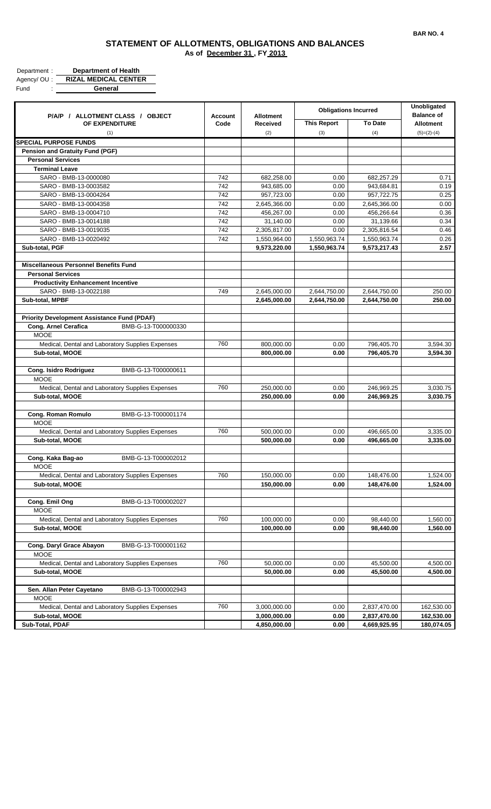| Department: | <b>Department of Health</b> |
|-------------|-----------------------------|
| Agency/OU:  | <b>RIZAL MEDICAL CENTER</b> |
| Fund        | General                     |

| P/A/P / ALLOTMENT CLASS / OBJECT                     | <b>Allotment</b><br><b>Account</b><br>Code<br>Received | <b>Obligations Incurred</b> |                           | <b>Unobligated</b><br><b>Balance of</b> |                                   |
|------------------------------------------------------|--------------------------------------------------------|-----------------------------|---------------------------|-----------------------------------------|-----------------------------------|
| OF EXPENDITURE<br>(1)                                |                                                        | (2)                         | <b>This Report</b><br>(3) | <b>To Date</b><br>(4)                   | <b>Allotment</b><br>$(5)=(2)-(4)$ |
| <b>SPECIAL PURPOSE FUNDS</b>                         |                                                        |                             |                           |                                         |                                   |
| <b>Pension and Gratuity Fund (PGF)</b>               |                                                        |                             |                           |                                         |                                   |
| <b>Personal Services</b>                             |                                                        |                             |                           |                                         |                                   |
| <b>Terminal Leave</b>                                |                                                        |                             |                           |                                         |                                   |
| SARO - BMB-13-0000080                                | 742                                                    | 682,258.00                  | 0.00                      | 682,257.29                              | 0.71                              |
| SARO - BMB-13-0003582                                | 742                                                    | 943,685.00                  | 0.00                      | 943,684.81                              | 0.19                              |
| SARO - BMB-13-0004264                                | 742                                                    | 957,723.00                  | 0.00                      | 957,722.75                              | 0.25                              |
| SARO - BMB-13-0004358                                | 742                                                    | 2,645,366.00                | 0.00                      | 2,645,366.00                            | 0.00                              |
| SARO - BMB-13-0004710                                | 742                                                    | 456,267.00                  | 0.00                      | 456,266.64                              | 0.36                              |
| SARO - BMB-13-0014188                                | 742                                                    | 31,140.00                   | 0.00                      | 31,139.66                               | 0.34                              |
| SARO - BMB-13-0019035                                | 742                                                    | 2,305,817.00                | 0.00                      | 2,305,816.54                            | 0.46                              |
| SARO - BMB-13-0020492                                | 742                                                    | 1,550,964.00                | 1,550,963.74              | 1,550,963.74                            | 0.26                              |
| Sub-total, PGF                                       |                                                        | 9,573,220.00                | 1,550,963.74              | 9,573,217.43                            | 2.57                              |
| <b>Miscellaneous Personnel Benefits Fund</b>         |                                                        |                             |                           |                                         |                                   |
| <b>Personal Services</b>                             |                                                        |                             |                           |                                         |                                   |
| <b>Productivity Enhancement Incentive</b>            |                                                        |                             |                           |                                         |                                   |
| SARO - BMB-13-0022188                                | 749                                                    | 2,645,000.00                | 2,644,750.00              | 2,644,750.00                            | 250.00                            |
| Sub-total, MPBF                                      |                                                        | 2,645,000.00                | 2,644,750.00              | 2,644,750.00                            | 250.00                            |
|                                                      |                                                        |                             |                           |                                         |                                   |
| <b>Priority Development Assistance Fund (PDAF)</b>   |                                                        |                             |                           |                                         |                                   |
| Cong. Arnel Cerafica<br>BMB-G-13-T000000330          |                                                        |                             |                           |                                         |                                   |
| <b>MOOE</b>                                          |                                                        |                             |                           |                                         |                                   |
| Medical, Dental and Laboratory Supplies Expenses     | 760                                                    | 800,000.00                  | 0.00                      | 796,405.70                              | 3,594.30                          |
| Sub-total, MOOE                                      |                                                        | 800,000.00                  | 0.00                      | 796,405.70                              | 3,594.30                          |
| <b>Cong. Isidro Rodriguez</b><br>BMB-G-13-T000000611 |                                                        |                             |                           |                                         |                                   |
| <b>MOOE</b>                                          |                                                        |                             |                           |                                         |                                   |
| Medical, Dental and Laboratory Supplies Expenses     | 760                                                    | 250,000.00                  | 0.00                      | 246,969.25                              | 3,030.75                          |
| Sub-total, MOOE                                      |                                                        | 250,000.00                  | 0.00                      | 246,969.25                              | 3,030.75                          |
|                                                      |                                                        |                             |                           |                                         |                                   |
| Cong. Roman Romulo<br>BMB-G-13-T000001174            |                                                        |                             |                           |                                         |                                   |
| <b>MOOE</b>                                          |                                                        |                             |                           |                                         |                                   |
| Medical, Dental and Laboratory Supplies Expenses     | 760                                                    | 500,000.00                  | 0.00                      | 496,665.00                              | 3,335.00                          |
| Sub-total, MOOE                                      |                                                        | 500.000.00                  | 0.00                      | 496,665.00                              | 3,335.00                          |
|                                                      |                                                        |                             |                           |                                         |                                   |
| Cong. Kaka Bag-ao<br>BMB-G-13-T000002012             |                                                        |                             |                           |                                         |                                   |
| <b>MOOE</b>                                          |                                                        |                             |                           |                                         |                                   |
| Medical, Dental and Laboratory Supplies Expenses     | 760                                                    | 150,000.00                  | 0.00                      | 148,476.00                              | 1,524.00                          |
| Sub-total, MOOE                                      |                                                        | 150,000.00                  | 0.00                      | 148,476.00                              | 1,524.00                          |
|                                                      |                                                        |                             |                           |                                         |                                   |
| Cong. Emil Ong<br>BMB-G-13-T000002027                |                                                        |                             |                           |                                         |                                   |
| <b>MOOE</b>                                          |                                                        |                             |                           |                                         |                                   |
| Medical, Dental and Laboratory Supplies Expenses     | 760                                                    | 100,000.00                  | 0.00                      | 98,440.00                               | 1,560.00                          |
| Sub-total, MOOE                                      |                                                        | 100,000.00                  | 0.00                      | 98,440.00                               | 1,560.00                          |
|                                                      |                                                        |                             |                           |                                         |                                   |
| Cong. Daryl Grace Abayon<br>BMB-G-13-T000001162      |                                                        |                             |                           |                                         |                                   |
| <b>MOOE</b>                                          |                                                        |                             |                           |                                         |                                   |
| Medical, Dental and Laboratory Supplies Expenses     | 760                                                    | 50,000.00                   | 0.00                      | 45,500.00                               | 4,500.00                          |
| Sub-total, MOOE                                      |                                                        | 50,000.00                   | 0.00                      | 45,500.00                               | 4,500.00                          |
|                                                      |                                                        |                             |                           |                                         |                                   |
| Sen. Allan Peter Cayetano<br>BMB-G-13-T000002943     |                                                        |                             |                           |                                         |                                   |
| <b>MOOE</b>                                          |                                                        |                             |                           |                                         |                                   |
| Medical, Dental and Laboratory Supplies Expenses     | 760                                                    | 3,000,000.00                | 0.00                      | 2,837,470.00                            | 162,530.00                        |
| Sub-total, MOOE                                      |                                                        | 3,000,000.00                | 0.00                      | 2,837,470.00                            | 162,530.00                        |
| Sub-Total, PDAF                                      |                                                        | 4,850,000.00                | 0.00                      | 4,669,925.95                            | 180,074.05                        |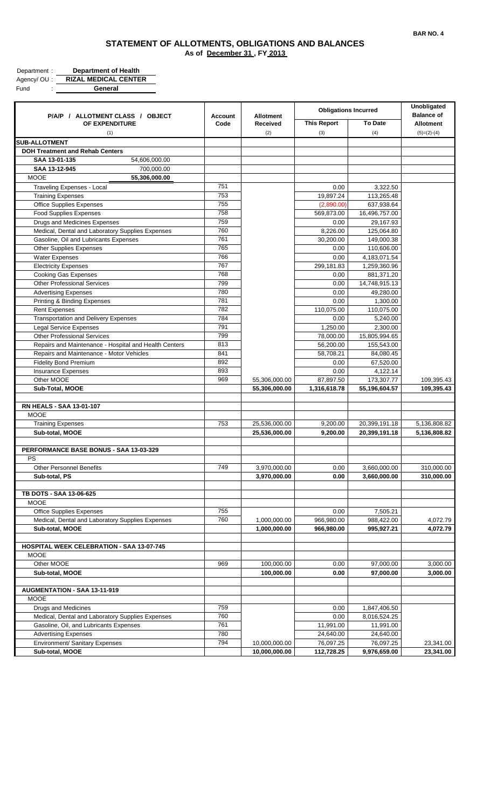| Department: | <b>Department of Health</b> |
|-------------|-----------------------------|
| Agency/OU:  | <b>RIZAL MEDICAL CENTER</b> |
| Fund        | General                     |

|                                                       |                |                  |                             |                | Unobligated       |
|-------------------------------------------------------|----------------|------------------|-----------------------------|----------------|-------------------|
| P/A/P / ALLOTMENT CLASS / OBJECT                      | <b>Account</b> | <b>Allotment</b> | <b>Obligations Incurred</b> |                | <b>Balance of</b> |
| OF EXPENDITURE                                        | Code           | Received         | <b>This Report</b>          | <b>To Date</b> | <b>Allotment</b>  |
| (1)                                                   |                | (2)              | (3)                         | (4)            | $(5)=(2)-(4)$     |
| <b>SUB-ALLOTMENT</b>                                  |                |                  |                             |                |                   |
| <b>DOH Treatment and Rehab Centers</b>                |                |                  |                             |                |                   |
| SAA 13-01-135<br>54,606,000.00                        |                |                  |                             |                |                   |
| SAA 13-12-945<br>700,000.00                           |                |                  |                             |                |                   |
| <b>MOOE</b><br>55,306,000.00                          |                |                  |                             |                |                   |
| <b>Traveling Expenses - Local</b>                     | 751            |                  | 0.00                        | 3,322.50       |                   |
| <b>Training Expenses</b>                              | 753            |                  | 19,897.24                   | 113.265.48     |                   |
| <b>Office Supplies Expenses</b>                       | 755            |                  | (2,890.00)                  | 637,938.64     |                   |
| <b>Food Supplies Expenses</b>                         | 758            |                  | 569,873.00                  | 16,496,757.00  |                   |
| Drugs and Medicines Expenses                          | 759            |                  | 0.00                        | 29,167.93      |                   |
| Medical, Dental and Laboratory Supplies Expenses      | 760            |                  | 8,226.00                    | 125,064.80     |                   |
| Gasoline, Oil and Lubricants Expenses                 | 761            |                  | 30,200.00                   | 149,000.38     |                   |
| <b>Other Supplies Expenses</b>                        | 765            |                  | 0.00                        | 110,606.00     |                   |
| <b>Water Expenses</b>                                 | 766            |                  | 0.00                        | 4,183,071.54   |                   |
| <b>Electricity Expenses</b>                           | 767            |                  | 299,181.83                  | 1,259,360.96   |                   |
| <b>Cooking Gas Expenses</b>                           | 768            |                  | 0.00                        | 881,371.20     |                   |
| <b>Other Professional Services</b>                    | 799            |                  | 0.00                        | 14,748,915.13  |                   |
| <b>Advertising Expenses</b>                           | 780            |                  | 0.00                        | 49,280.00      |                   |
| Printing & Binding Expenses                           | 781            |                  | 0.00                        | 1,300.00       |                   |
| <b>Rent Expenses</b>                                  | 782            |                  | 110,075.00                  | 110,075.00     |                   |
| <b>Transportation and Delivery Expenses</b>           | 784            |                  | 0.00                        | 5,240.00       |                   |
| <b>Legal Service Expenses</b>                         | 791            |                  | 1,250.00                    | 2,300.00       |                   |
| <b>Other Professional Services</b>                    | 799            |                  | 78,000.00                   | 15,805,994.65  |                   |
| Repairs and Maintenance - Hospital and Health Centers | 813            |                  | 56,200.00                   | 155,543.00     |                   |
| Repairs and Maintenance - Motor Vehicles              | 841            |                  | 58,708.21                   | 84,080.45      |                   |
| <b>Fidelity Bond Premium</b>                          | 892            |                  | 0.00                        | 67,520.00      |                   |
| <b>Insurance Expenses</b>                             | 893            |                  | 0.00                        | 4,122.14       |                   |
| Other MOOE                                            | 969            | 55,306,000.00    | 87,897.50                   | 173,307.77     | 109,395.43        |
| Sub-Total, MOOE                                       |                | 55,306,000.00    | 1,316,618.78                | 55,196,604.57  | 109,395.43        |
| <b>RN HEALS - SAA 13-01-107</b>                       |                |                  |                             |                |                   |
| <b>MOOE</b>                                           |                |                  |                             |                |                   |
| <b>Training Expenses</b>                              | 753            | 25,536,000.00    | 9,200.00                    | 20,399,191.18  | 5,136,808.82      |
| Sub-total, MOOE                                       |                | 25,536,000.00    | 9,200.00                    | 20,399,191.18  | 5,136,808.82      |
|                                                       |                |                  |                             |                |                   |
| PERFORMANCE BASE BONUS - SAA 13-03-329                |                |                  |                             |                |                   |
| PS                                                    |                |                  |                             |                |                   |
| <b>Other Personnel Benefits</b>                       | 749            | 3,970,000.00     | 0.00                        | 3,660,000.00   | 310,000.00        |
| Sub-total, PS                                         |                | 3,970,000.00     | 0.00                        | 3,660,000.00   | 310,000.00        |
|                                                       |                |                  |                             |                |                   |
| TB DOTS - SAA 13-06-625                               |                |                  |                             |                |                   |
| <b>MOOE</b>                                           |                |                  |                             |                |                   |
| <b>Office Supplies Expenses</b>                       | 755            |                  | 0.00                        | 7,505.21       |                   |
| Medical, Dental and Laboratory Supplies Expenses      | 760            | 1,000,000.00     | 966,980.00                  | 988,422.00     | 4,072.79          |
| Sub-total, MOOE                                       |                | 1,000,000.00     | 966,980.00                  | 995,927.21     | 4,072.79          |
|                                                       |                |                  |                             |                |                   |
| <b>HOSPITAL WEEK CELEBRATION - SAA 13-07-745</b>      |                |                  |                             |                |                   |
| <b>MOOE</b>                                           |                |                  |                             |                |                   |
| Other MOOE                                            | 969            | 100,000.00       | 0.00                        | 97,000.00      | 3,000.00          |
| Sub-total, MOOE                                       |                | 100,000.00       | 0.00                        | 97,000.00      | 3,000.00          |
|                                                       |                |                  |                             |                |                   |
| AUGMENTATION - SAA 13-11-919                          |                |                  |                             |                |                   |
| <b>MOOE</b>                                           |                |                  |                             |                |                   |
| Drugs and Medicines                                   | 759            |                  | 0.00                        | 1,847,406.50   |                   |
| Medical, Dental and Laboratory Supplies Expenses      | 760            |                  | 0.00                        | 8,016,524.25   |                   |
| Gasoline, Oil, and Lubricants Expenses                | 761            |                  | 11,991.00                   | 11,991.00      |                   |
| <b>Advertising Expenses</b>                           | 780            |                  | 24,640.00                   | 24,640.00      |                   |
| Environment/ Sanitary Expenses                        | 794            | 10,000,000.00    | 76,097.25                   | 76,097.25      | 23,341.00         |
| Sub-total, MOOE                                       |                | 10,000,000.00    | 112,728.25                  | 9,976,659.00   | 23,341.00         |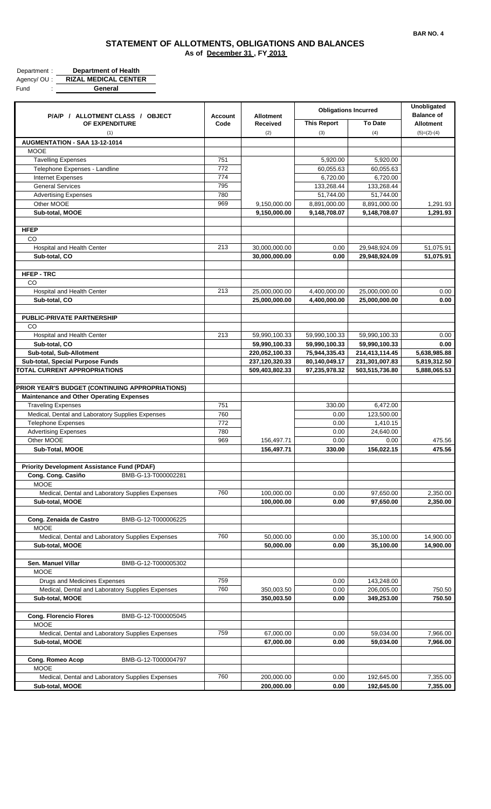| Department: | <b>Department of Health</b> |
|-------------|-----------------------------|
| Agency/OU:  | <b>RIZAL MEDICAL CENTER</b> |
| Fund        | General                     |

| P/A/P / ALLOTMENT CLASS / OBJECT                     | <b>Account</b> | <b>Allotment</b> | <b>Obligations Incurred</b> |                | Unobligated<br><b>Balance of</b> |
|------------------------------------------------------|----------------|------------------|-----------------------------|----------------|----------------------------------|
| OF EXPENDITURE                                       | Code           | <b>Received</b>  | <b>This Report</b>          | <b>To Date</b> | <b>Allotment</b>                 |
| (1)<br>AUGMENTATION - SAA 13-12-1014                 |                | (2)              | (3)                         | (4)            | $(5)=(2)-(4)$                    |
| <b>MOOE</b>                                          |                |                  |                             |                |                                  |
| Tavelling Expenses                                   | 751            |                  | 5,920.00                    | 5,920.00       |                                  |
| Telephone Expenses - Landline                        | 772            |                  | 60,055.63                   | 60,055.63      |                                  |
| Internet Expenses                                    | 774            |                  | 6,720.00                    | 6,720.00       |                                  |
| <b>General Services</b>                              | 795            |                  | 133,268.44                  | 133,268.44     |                                  |
| <b>Advertising Expenses</b>                          | 780            |                  | 51,744.00                   | 51,744.00      |                                  |
| Other MOOE                                           | 969            | 9,150,000.00     | 8,891,000.00                | 8,891,000.00   | 1,291.93                         |
| Sub-total, MOOE                                      |                | 9,150,000.00     | 9,148,708.07                | 9,148,708.07   | 1,291.93                         |
|                                                      |                |                  |                             |                |                                  |
| <b>HFEP</b>                                          |                |                  |                             |                |                                  |
| CO                                                   |                |                  |                             |                |                                  |
| Hospital and Health Center                           | 213            | 30,000,000.00    | 0.00                        | 29,948,924.09  | 51,075.91                        |
| Sub-total, CO                                        |                | 30,000,000.00    | 0.00                        | 29,948,924.09  | 51,075.91                        |
|                                                      |                |                  |                             |                |                                  |
| <b>HFEP - TRC</b>                                    |                |                  |                             |                |                                  |
| CO                                                   |                |                  |                             |                |                                  |
| Hospital and Health Center                           | 213            | 25,000,000.00    | 4,400,000.00                | 25,000,000.00  | 0.00                             |
| Sub-total, CO                                        |                | 25,000,000.00    | 4,400,000.00                | 25,000,000.00  | 0.00                             |
|                                                      |                |                  |                             |                |                                  |
| <b>PUBLIC-PRIVATE PARTNERSHIP</b>                    |                |                  |                             |                |                                  |
| CO                                                   |                |                  |                             |                |                                  |
| Hospital and Health Center                           | 213            | 59,990,100.33    | 59,990,100.33               | 59,990,100.33  | 0.00                             |
| Sub-total, CO                                        |                | 59,990,100.33    | 59,990,100.33               | 59,990,100.33  | 0.00                             |
| Sub-total, Sub-Allotment                             |                | 220,052,100.33   | 75,944,335.43               | 214,413,114.45 | 5,638,985.88                     |
| Sub-total, Special Purpose Funds                     |                | 237,120,320.33   | 80,140,049.17               | 231,301,007.83 | 5,819,312.50                     |
| TOTAL CURRENT APPROPRIATIONS                         |                | 509,403,802.33   | 97,235,978.32               | 503,515,736.80 | 5,888,065.53                     |
|                                                      |                |                  |                             |                |                                  |
| PRIOR YEAR'S BUDGET (CONTINUING APPROPRIATIONS)      |                |                  |                             |                |                                  |
| <b>Maintenance and Other Operating Expenses</b>      |                |                  |                             |                |                                  |
| <b>Traveling Expenses</b>                            | 751            |                  | 330.00                      | 6,472.00       |                                  |
| Medical, Dental and Laboratory Supplies Expenses     | 760            |                  | 0.00                        | 123,500.00     |                                  |
| <b>Telephone Expenses</b>                            | 772            |                  | 0.00                        | 1,410.15       |                                  |
| <b>Advertising Expenses</b>                          | 780            |                  | 0.00                        | 24,640.00      |                                  |
| Other MOOE                                           | 969            | 156,497.71       | 0.00                        | 0.00           | 475.56                           |
| Sub-Total, MOOE                                      |                | 156,497.71       | 330.00                      | 156,022.15     | 475.56                           |
|                                                      |                |                  |                             |                |                                  |
| <b>Priority Development Assistance Fund (PDAF)</b>   |                |                  |                             |                |                                  |
| BMB-G-13-T000002281<br>Cong. Cong. Casiño            |                |                  |                             |                |                                  |
| <b>MOOE</b>                                          |                |                  |                             |                |                                  |
| Medical, Dental and Laboratory Supplies Expenses     | 760            | 100,000.00       | 0.00                        | 97,650.00      | 2,350.00                         |
| Sub-total, MOOE                                      |                | 100,000.00       | 0.00                        | 97,650.00      | 2,350.00                         |
|                                                      |                |                  |                             |                |                                  |
| Cong. Zenaida de Castro<br>BMB-G-12-T000006225       |                |                  |                             |                |                                  |
| <b>MOOE</b>                                          |                |                  |                             |                |                                  |
| Medical, Dental and Laboratory Supplies Expenses     | 760            | 50,000.00        | 0.00                        | 35,100.00      | 14,900.00                        |
| Sub-total, MOOE                                      |                | 50,000.00        | 0.00                        | 35,100.00      | 14,900.00                        |
|                                                      |                |                  |                             |                |                                  |
| Sen. Manuel Villar<br>BMB-G-12-T000005302            |                |                  |                             |                |                                  |
| <b>MOOE</b>                                          |                |                  |                             |                |                                  |
| Drugs and Medicines Expenses                         | 759            |                  | 0.00                        | 143,248.00     |                                  |
| Medical, Dental and Laboratory Supplies Expenses     | 760            | 350,003.50       | 0.00                        | 206,005.00     | 750.50                           |
| Sub-total, MOOE                                      |                | 350,003.50       | 0.00                        | 349,253.00     | 750.50                           |
|                                                      |                |                  |                             |                |                                  |
| <b>Cong. Florencio Flores</b><br>BMB-G-12-T000005045 |                |                  |                             |                |                                  |
| <b>MOOE</b>                                          |                |                  |                             |                |                                  |
| Medical, Dental and Laboratory Supplies Expenses     | 759            | 67,000.00        | 0.00                        | 59,034.00      | 7,966.00                         |
| Sub-total, MOOE                                      |                | 67,000.00        | 0.00                        | 59,034.00      | 7,966.00                         |
|                                                      |                |                  |                             |                |                                  |
| Cong. Romeo Acop<br>BMB-G-12-T000004797              |                |                  |                             |                |                                  |
| MOOE                                                 |                |                  |                             |                |                                  |
| Medical, Dental and Laboratory Supplies Expenses     | 760            | 200,000.00       | 0.00                        | 192,645.00     | 7,355.00                         |
| Sub-total, MOOE                                      |                | 200,000.00       | 0.00                        | 192,645.00     | 7,355.00                         |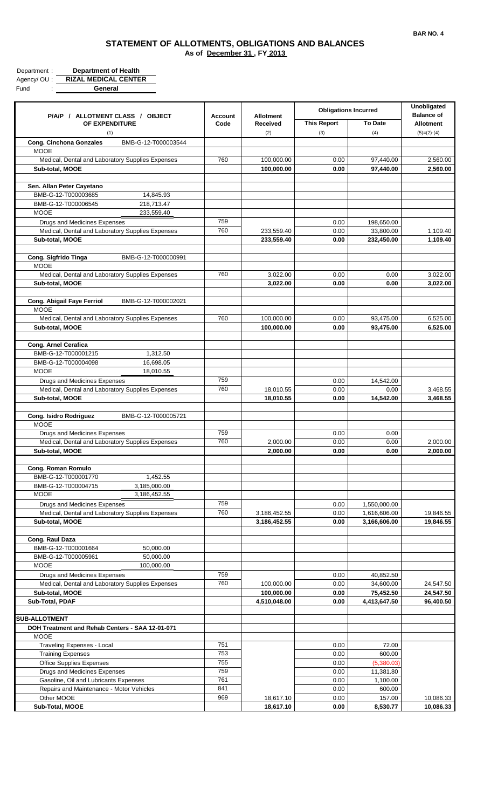| Department: | <b>Department of Health</b> |
|-------------|-----------------------------|
| Agency/OU:  | <b>RIZAL MEDICAL CENTER</b> |
| Fund        | General                     |

| P/A/P / ALLOTMENT CLASS / OBJECT                                                 | <b>Account</b> | <b>Allotment</b>             | <b>Obligations Incurred</b> |                              | <b>Unobligated</b><br><b>Balance of</b> |
|----------------------------------------------------------------------------------|----------------|------------------------------|-----------------------------|------------------------------|-----------------------------------------|
| OF EXPENDITURE<br>(1)                                                            | Code           | <b>Received</b><br>(2)       | <b>This Report</b><br>(3)   | <b>To Date</b><br>(4)        | <b>Allotment</b><br>$(5)=(2)-(4)$       |
| <b>Cong. Cinchona Gonzales</b><br>BMB-G-12-T000003544                            |                |                              |                             |                              |                                         |
| <b>MOOE</b>                                                                      |                |                              |                             |                              |                                         |
| Medical, Dental and Laboratory Supplies Expenses                                 | 760            | 100,000.00                   | 0.00                        | 97,440.00                    | 2,560.00                                |
| Sub-total, MOOE                                                                  |                | 100,000.00                   | 0.00                        | 97,440.00                    | 2,560.00                                |
| Sen. Allan Peter Cayetano                                                        |                |                              |                             |                              |                                         |
| BMB-G-12-T000003685<br>14,845.93                                                 |                |                              |                             |                              |                                         |
| 218,713.47<br>BMB-G-12-T000006545                                                |                |                              |                             |                              |                                         |
| <b>MOOE</b><br>233,559.40                                                        |                |                              |                             |                              |                                         |
| Drugs and Medicines Expenses                                                     | 759            |                              | 0.00                        | 198,650.00                   |                                         |
| Medical, Dental and Laboratory Supplies Expenses                                 | 760            | 233,559.40                   | 0.00                        | 33,800.00                    | 1,109.40                                |
| Sub-total, MOOE                                                                  |                | 233,559.40                   | 0.00                        | 232,450.00                   | 1,109.40                                |
| Cong. Sigfrido Tinga<br>BMB-G-12-T000000991                                      |                |                              |                             |                              |                                         |
| <b>MOOE</b>                                                                      |                |                              |                             |                              |                                         |
| Medical, Dental and Laboratory Supplies Expenses                                 | 760            | 3,022.00                     | 0.00                        | 0.00                         | 3,022.00                                |
| Sub-total, MOOE                                                                  |                | 3,022.00                     | 0.00                        | 0.00                         | 3,022.00                                |
| Cong. Abigail Faye Ferriol<br>BMB-G-12-T000002021                                |                |                              |                             |                              |                                         |
| <b>MOOE</b>                                                                      |                |                              |                             |                              |                                         |
| Medical, Dental and Laboratory Supplies Expenses                                 | 760            | 100,000.00                   | 0.00                        | 93,475.00                    | 6,525.00                                |
| Sub-total, MOOE                                                                  |                | 100,000.00                   | 0.00                        | 93,475.00                    | 6.525.00                                |
|                                                                                  |                |                              |                             |                              |                                         |
| Cong. Arnel Cerafica                                                             |                |                              |                             |                              |                                         |
| BMB-G-12-T000001215<br>1,312.50<br>BMB-G-12-T000004098<br>16,698.05              |                |                              |                             |                              |                                         |
| <b>MOOE</b><br>18,010.55                                                         |                |                              |                             |                              |                                         |
| Drugs and Medicines Expenses                                                     | 759            |                              | 0.00                        | 14,542.00                    |                                         |
| Medical, Dental and Laboratory Supplies Expenses                                 | 760            | 18,010.55                    | 0.00                        | 0.00                         | 3,468.55                                |
| Sub-total, MOOE                                                                  |                | 18,010.55                    | 0.00                        | 14,542.00                    | 3,468.55                                |
|                                                                                  |                |                              |                             |                              |                                         |
| Cong. Isidro Rodriguez<br>BMB-G-12-T000005721                                    |                |                              |                             |                              |                                         |
| MOOE                                                                             |                |                              |                             |                              |                                         |
| Drugs and Medicines Expenses<br>Medical, Dental and Laboratory Supplies Expenses | 759<br>760     | 2,000.00                     | 0.00<br>0.00                | 0.00<br>0.00                 | 2,000.00                                |
| Sub-total, MOOE                                                                  |                | 2,000.00                     | 0.00                        | 0.00                         | 2,000.00                                |
|                                                                                  |                |                              |                             |                              |                                         |
| Cong. Roman Romulo                                                               |                |                              |                             |                              |                                         |
| BMB-G-12-T000001770<br>1,452.55                                                  |                |                              |                             |                              |                                         |
| 3,185,000.00<br>BMB-G-12-T000004715                                              |                |                              |                             |                              |                                         |
| <b>MOOE</b><br>3,186,452.55                                                      |                |                              |                             |                              |                                         |
| Drugs and Medicines Expenses                                                     | 759<br>760     |                              | 0.00                        | 1,550,000.00                 |                                         |
| Medical, Dental and Laboratory Supplies Expenses<br>Sub-total, MOOE              |                | 3,186,452.55<br>3,186,452.55 | 0.00<br>0.00                | 1,616,606.00<br>3,166,606.00 | 19,846.55<br>19,846.55                  |
|                                                                                  |                |                              |                             |                              |                                         |
| Cong. Raul Daza                                                                  |                |                              |                             |                              |                                         |
| BMB-G-12-T000001664<br>50,000.00                                                 |                |                              |                             |                              |                                         |
| BMB-G-12-T000005961<br>50,000.00                                                 |                |                              |                             |                              |                                         |
| <b>MOOE</b><br>100,000.00                                                        |                |                              |                             |                              |                                         |
| Drugs and Medicines Expenses                                                     | 759            |                              | 0.00                        | 40,852.50                    |                                         |
| Medical, Dental and Laboratory Supplies Expenses                                 | 760            | 100,000.00                   | 0.00                        | 34,600.00                    | 24,547.50                               |
| Sub-total, MOOE<br>Sub-Total, PDAF                                               |                | 100,000.00<br>4,510,048.00   | 0.00<br>0.00                | 75,452.50<br>4,413,647.50    | 24,547.50<br>96,400.50                  |
|                                                                                  |                |                              |                             |                              |                                         |
| <b>SUB-ALLOTMENT</b>                                                             |                |                              |                             |                              |                                         |
| DOH Treatment and Rehab Centers - SAA 12-01-071                                  |                |                              |                             |                              |                                         |
| <b>MOOE</b>                                                                      |                |                              |                             |                              |                                         |
| <b>Traveling Expenses - Local</b>                                                | 751            |                              | 0.00                        | 72.00                        |                                         |
| <b>Training Expenses</b>                                                         | 753            |                              | 0.00                        | 600.00                       |                                         |
| <b>Office Supplies Expenses</b>                                                  | 755<br>759     |                              | 0.00                        | (5,380.03)                   |                                         |
| Drugs and Medicines Expenses<br>Gasoline, Oil and Lubricants Expenses            | 761            |                              | 0.00<br>0.00                | 11,381.80<br>1,100.00        |                                         |
| Repairs and Maintenance - Motor Vehicles                                         | 841            |                              | 0.00                        | 600.00                       |                                         |
| Other MOOE                                                                       | 969            | 18,617.10                    | 0.00                        | 157.00                       | 10,086.33                               |
| Sub-Total, MOOE                                                                  |                | 18,617.10                    | 0.00                        | 8,530.77                     | 10,086.33                               |